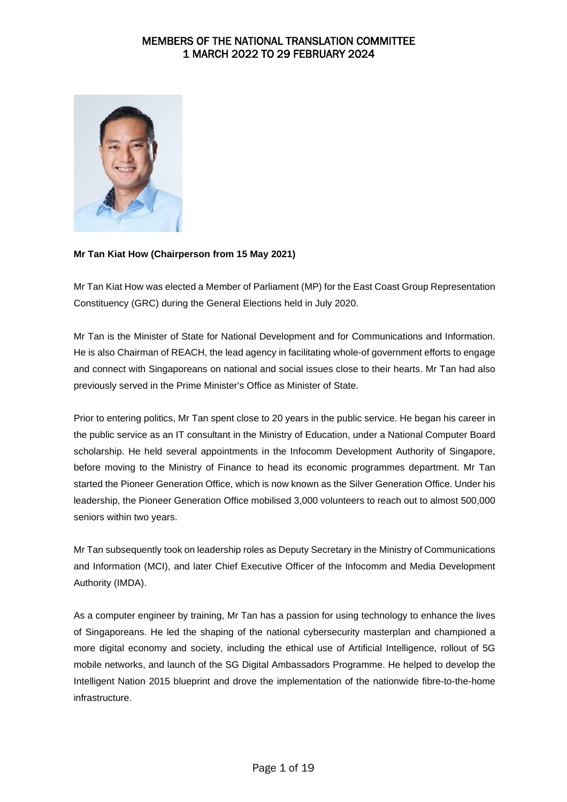

### **Mr Tan Kiat How (Chairperson from 15 May 2021)**

Mr Tan Kiat How was elected a Member of Parliament (MP) for the East Coast Group Representation Constituency (GRC) during the General Elections held in July 2020.

Mr Tan is the Minister of State for National Development and for Communications and Information. He is also Chairman of REACH, the lead agency in facilitating whole-of government efforts to engage and connect with Singaporeans on national and social issues close to their hearts. Mr Tan had also previously served in the Prime Minister's Office as Minister of State.

Prior to entering politics, Mr Tan spent close to 20 years in the public service. He began his career in the public service as an IT consultant in the Ministry of Education, under a National Computer Board scholarship. He held several appointments in the Infocomm Development Authority of Singapore, before moving to the Ministry of Finance to head its economic programmes department. Mr Tan started the Pioneer Generation Office, which is now known as the Silver Generation Office. Under his leadership, the Pioneer Generation Office mobilised 3,000 volunteers to reach out to almost 500,000 seniors within two years.

Mr Tan subsequently took on leadership roles as Deputy Secretary in the Ministry of Communications and Information (MCI), and later Chief Executive Officer of the Infocomm and Media Development Authority (IMDA).

As a computer engineer by training, Mr Tan has a passion for using technology to enhance the lives of Singaporeans. He led the shaping of the national cybersecurity masterplan and championed a more digital economy and society, including the ethical use of Artificial Intelligence, rollout of 5G mobile networks, and launch of the SG Digital Ambassadors Programme. He helped to develop the Intelligent Nation 2015 blueprint and drove the implementation of the nationwide fibre-to-the-home infrastructure.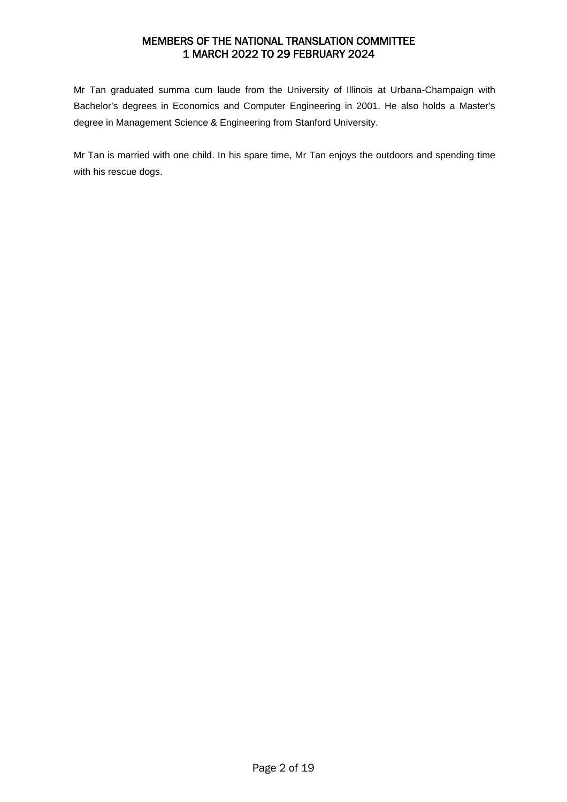Mr Tan graduated summa cum laude from the University of Illinois at Urbana-Champaign with Bachelor's degrees in Economics and Computer Engineering in 2001. He also holds a Master's degree in Management Science & Engineering from Stanford University.

Mr Tan is married with one child. In his spare time, Mr Tan enjoys the outdoors and spending time with his rescue dogs.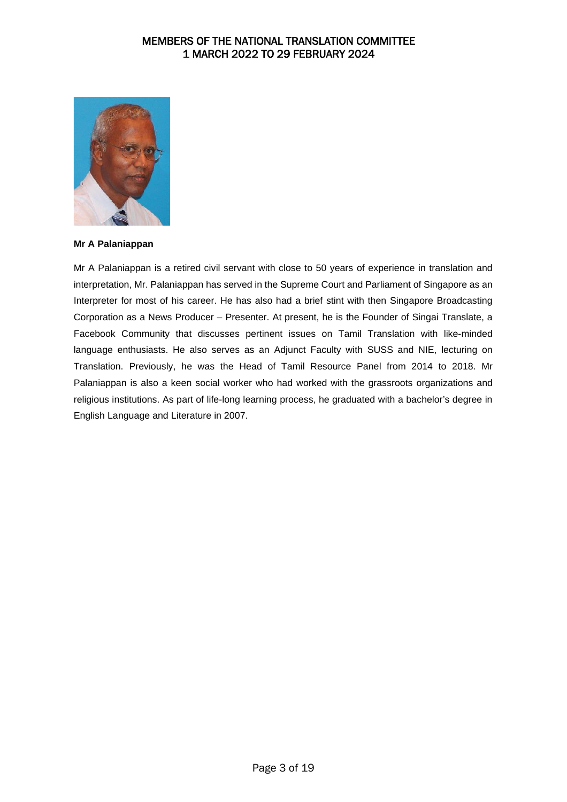

#### **Mr A Palaniappan**

Mr A Palaniappan is a retired civil servant with close to 50 years of experience in translation and interpretation, Mr. Palaniappan has served in the Supreme Court and Parliament of Singapore as an Interpreter for most of his career. He has also had a brief stint with then Singapore Broadcasting Corporation as a News Producer – Presenter. At present, he is the Founder of Singai Translate, a Facebook Community that discusses pertinent issues on Tamil Translation with like-minded language enthusiasts. He also serves as an Adjunct Faculty with SUSS and NIE, lecturing on Translation. Previously, he was the Head of Tamil Resource Panel from 2014 to 2018. Mr Palaniappan is also a keen social worker who had worked with the grassroots organizations and religious institutions. As part of life-long learning process, he graduated with a bachelor's degree in English Language and Literature in 2007.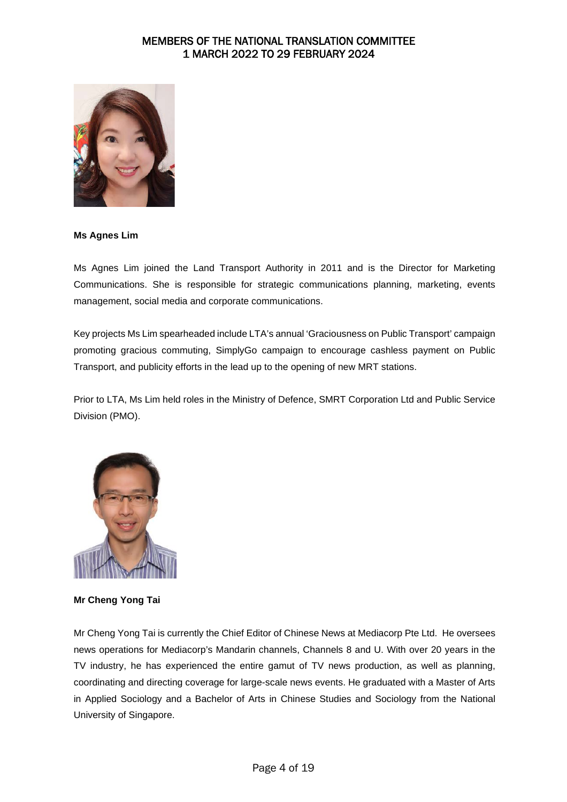

#### **Ms Agnes Lim**

Ms Agnes Lim joined the Land Transport Authority in 2011 and is the Director for Marketing Communications. She is responsible for strategic communications planning, marketing, events management, social media and corporate communications.

Key projects Ms Lim spearheaded include LTA's annual 'Graciousness on Public Transport' campaign promoting gracious commuting, SimplyGo campaign to encourage cashless payment on Public Transport, and publicity efforts in the lead up to the opening of new MRT stations.

Prior to LTA, Ms Lim held roles in the Ministry of Defence, SMRT Corporation Ltd and Public Service Division (PMO).



**Mr Cheng Yong Tai** 

Mr Cheng Yong Tai is currently the Chief Editor of Chinese News at Mediacorp Pte Ltd. He oversees news operations for Mediacorp's Mandarin channels, Channels 8 and U. With over 20 years in the TV industry, he has experienced the entire gamut of TV news production, as well as planning, coordinating and directing coverage for large-scale news events. He graduated with a Master of Arts in Applied Sociology and a Bachelor of Arts in Chinese Studies and Sociology from the National University of Singapore.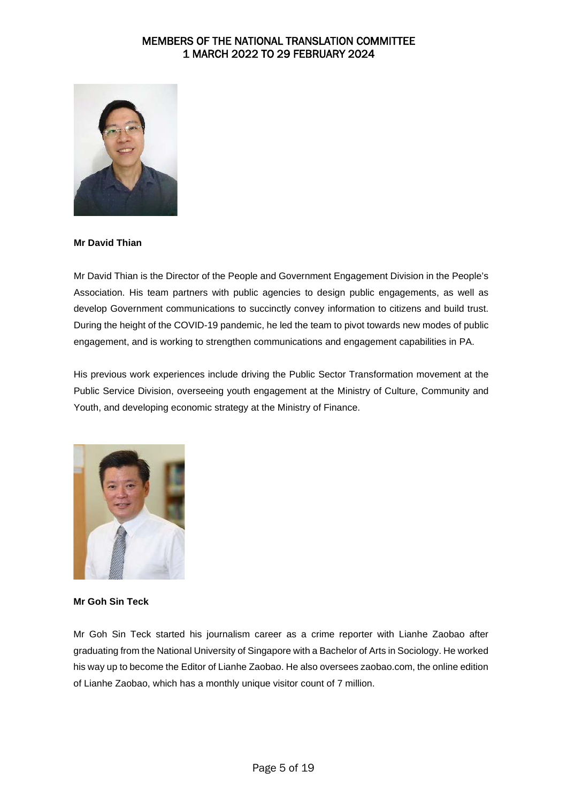

### **Mr David Thian**

Mr David Thian is the Director of the People and Government Engagement Division in the People's Association. His team partners with public agencies to design public engagements, as well as develop Government communications to succinctly convey information to citizens and build trust. During the height of the COVID-19 pandemic, he led the team to pivot towards new modes of public engagement, and is working to strengthen communications and engagement capabilities in PA.

His previous work experiences include driving the Public Sector Transformation movement at the Public Service Division, overseeing youth engagement at the Ministry of Culture, Community and Youth, and developing economic strategy at the Ministry of Finance.



#### **Mr Goh Sin Teck**

Mr Goh Sin Teck started his journalism career as a crime reporter with Lianhe Zaobao after graduating from the National University of Singapore with a Bachelor of Arts in Sociology. He worked his way up to become the Editor of Lianhe Zaobao. He also oversees zaobao.com, the online edition of Lianhe Zaobao, which has a monthly unique visitor count of 7 million.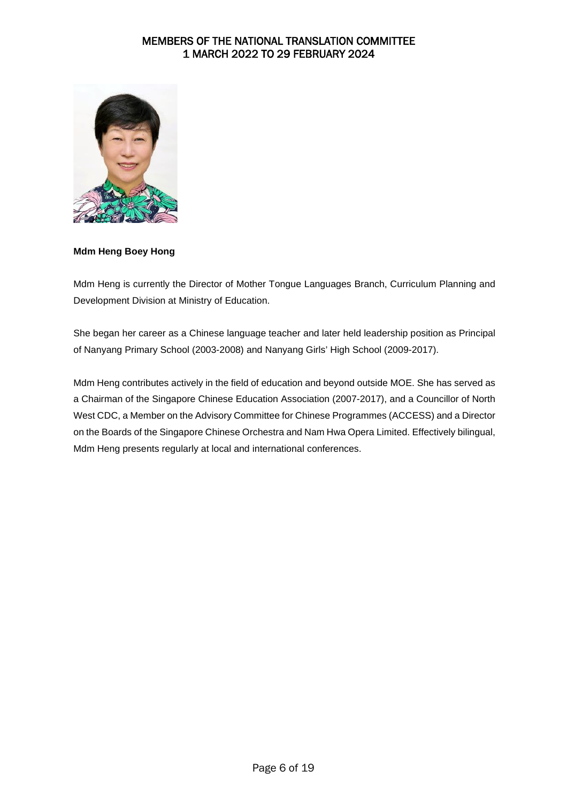

### **Mdm Heng Boey Hong**

Mdm Heng is currently the Director of Mother Tongue Languages Branch, Curriculum Planning and Development Division at Ministry of Education.

She began her career as a Chinese language teacher and later held leadership position as Principal of Nanyang Primary School (2003-2008) and Nanyang Girls' High School (2009-2017).

Mdm Heng contributes actively in the field of education and beyond outside MOE. She has served as a Chairman of the Singapore Chinese Education Association (2007-2017), and a Councillor of North West CDC, a Member on the Advisory Committee for Chinese Programmes (ACCESS) and a Director on the Boards of the Singapore Chinese Orchestra and Nam Hwa Opera Limited. Effectively bilingual, Mdm Heng presents regularly at local and international conferences.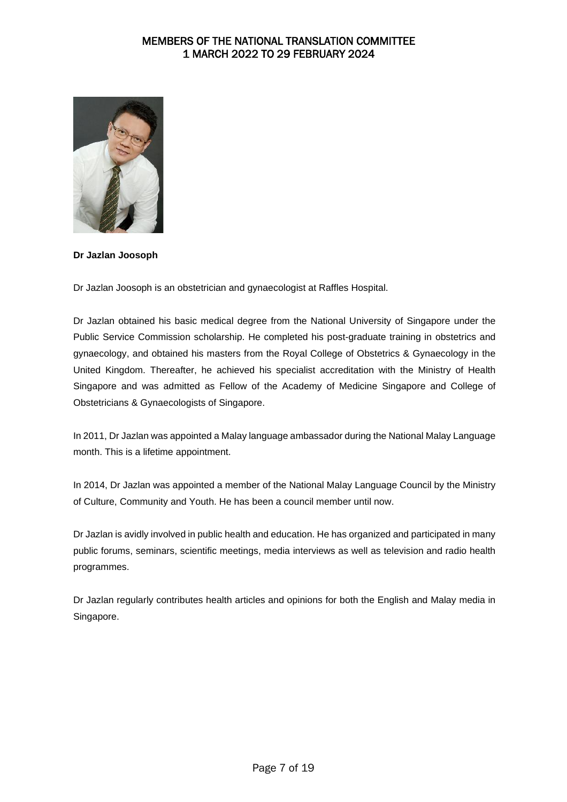

### **Dr Jazlan Joosoph**

Dr Jazlan Joosoph is an obstetrician and gynaecologist at Raffles Hospital.

Dr Jazlan obtained his basic medical degree from the National University of Singapore under the Public Service Commission scholarship. He completed his post-graduate training in obstetrics and gynaecology, and obtained his masters from the Royal College of Obstetrics & Gynaecology in the United Kingdom. Thereafter, he achieved his specialist accreditation with the Ministry of Health Singapore and was admitted as Fellow of the Academy of Medicine Singapore and College of Obstetricians & Gynaecologists of Singapore.

In 2011, Dr Jazlan was appointed a Malay language ambassador during the National Malay Language month. This is a lifetime appointment.

In 2014, Dr Jazlan was appointed a member of the National Malay Language Council by the Ministry of Culture, Community and Youth. He has been a council member until now.

Dr Jazlan is avidly involved in public health and education. He has organized and participated in many public forums, seminars, scientific meetings, media interviews as well as television and radio health programmes.

Dr Jazlan regularly contributes health articles and opinions for both the English and Malay media in Singapore.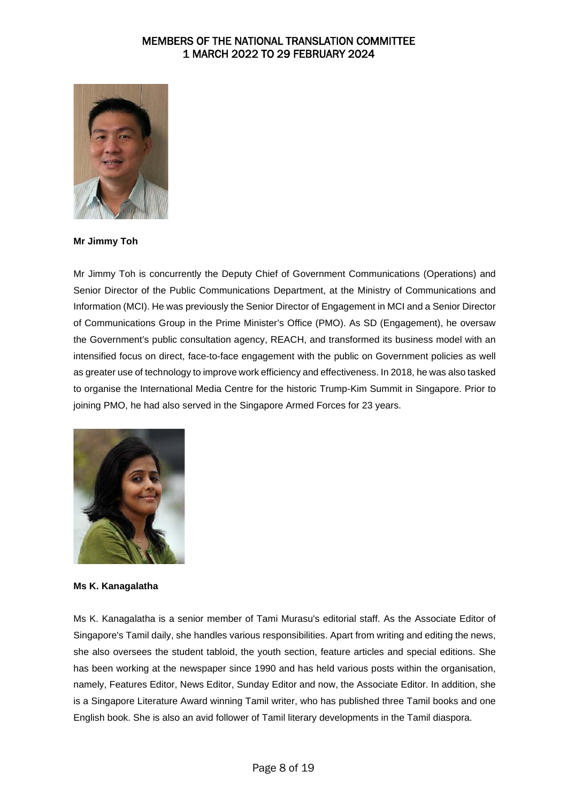

**Mr Jimmy Toh**

Mr Jimmy Toh is concurrently the Deputy Chief of Government Communications (Operations) and Senior Director of the Public Communications Department, at the Ministry of Communications and Information (MCI). He was previously the Senior Director of Engagement in MCI and a Senior Director of Communications Group in the Prime Minister's Office (PMO). As SD (Engagement), he oversaw the Government's public consultation agency, REACH, and transformed its business model with an intensified focus on direct, face-to-face engagement with the public on Government policies as well as greater use of technology to improve work efficiency and effectiveness. In 2018, he was also tasked to organise the International Media Centre for the historic Trump-Kim Summit in Singapore. Prior to joining PMO, he had also served in the Singapore Armed Forces for 23 years.



### **Ms K. Kanagalatha**

Ms K. Kanagalatha is a senior member of Tami Murasu's editorial staff. As the Associate Editor of Singapore's Tamil daily, she handles various responsibilities. Apart from writing and editing the news, she also oversees the student tabloid, the youth section, feature articles and special editions. She has been working at the newspaper since 1990 and has held various posts within the organisation, namely, Features Editor, News Editor, Sunday Editor and now, the Associate Editor. In addition, she is a Singapore Literature Award winning Tamil writer, who has published three Tamil books and one English book. She is also an avid follower of Tamil literary developments in the Tamil diaspora.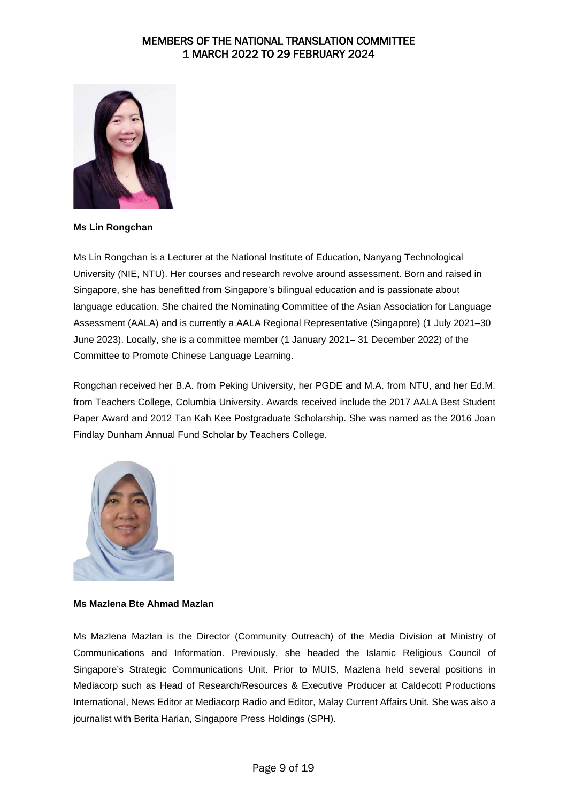

**Ms Lin Rongchan**

Ms Lin Rongchan is a Lecturer at the National Institute of Education, Nanyang Technological University (NIE, NTU). Her courses and research revolve around assessment. Born and raised in Singapore, she has benefitted from Singapore's bilingual education and is passionate about language education. She chaired the Nominating Committee of the Asian Association for Language Assessment (AALA) and is currently a AALA Regional Representative (Singapore) (1 July 2021–30 June 2023). Locally, she is a committee member (1 January 2021– 31 December 2022) of the Committee to Promote Chinese Language Learning.

Rongchan received her B.A. from Peking University, her PGDE and M.A. from NTU, and her Ed.M. from Teachers College, Columbia University. Awards received include the 2017 AALA Best Student Paper Award and 2012 Tan Kah Kee Postgraduate Scholarship. She was named as the 2016 Joan Findlay Dunham Annual Fund Scholar by Teachers College.



### **Ms Mazlena Bte Ahmad Mazlan**

Ms Mazlena Mazlan is the Director (Community Outreach) of the Media Division at Ministry of Communications and Information. Previously, she headed the Islamic Religious Council of Singapore's Strategic Communications Unit. Prior to MUIS, Mazlena held several positions in Mediacorp such as Head of Research/Resources & Executive Producer at Caldecott Productions International, News Editor at Mediacorp Radio and Editor, Malay Current Affairs Unit. She was also a journalist with Berita Harian, Singapore Press Holdings (SPH).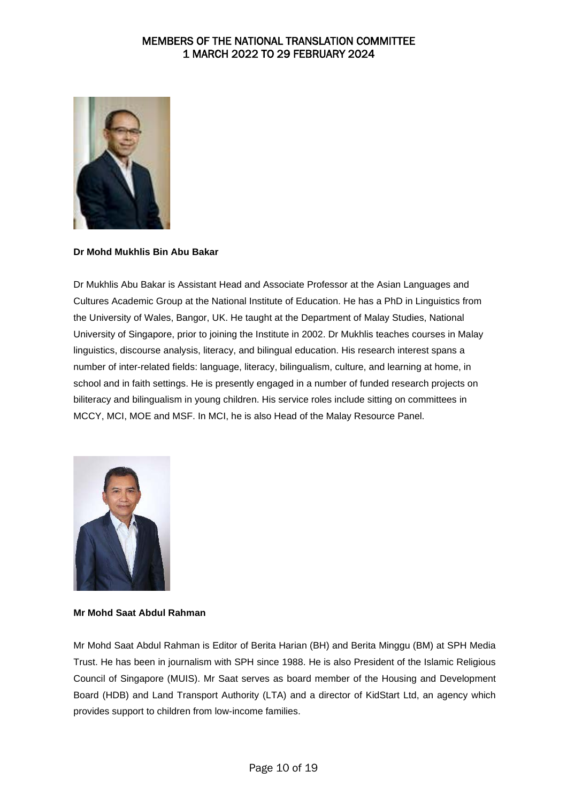

### **Dr Mohd Mukhlis Bin Abu Bakar**

Dr Mukhlis Abu Bakar is Assistant Head and Associate Professor at the Asian Languages and Cultures Academic Group at the National Institute of Education. He has a PhD in Linguistics from the University of Wales, Bangor, UK. He taught at the Department of Malay Studies, National University of Singapore, prior to joining the Institute in 2002. Dr Mukhlis teaches courses in Malay linguistics, discourse analysis, literacy, and bilingual education. His research interest spans a number of inter-related fields: language, literacy, bilingualism, culture, and learning at home, in school and in faith settings. He is presently engaged in a number of funded research projects on biliteracy and bilingualism in young children. His service roles include sitting on committees in MCCY, MCI, MOE and MSF. In MCI, he is also Head of the Malay Resource Panel.



### **Mr Mohd Saat Abdul Rahman**

Mr Mohd Saat Abdul Rahman is Editor of Berita Harian (BH) and Berita Minggu (BM) at SPH Media Trust. He has been in journalism with SPH since 1988. He is also President of the Islamic Religious Council of Singapore (MUIS). Mr Saat serves as board member of the Housing and Development Board (HDB) and Land Transport Authority (LTA) and a director of KidStart Ltd, an agency which provides support to children from low-income families.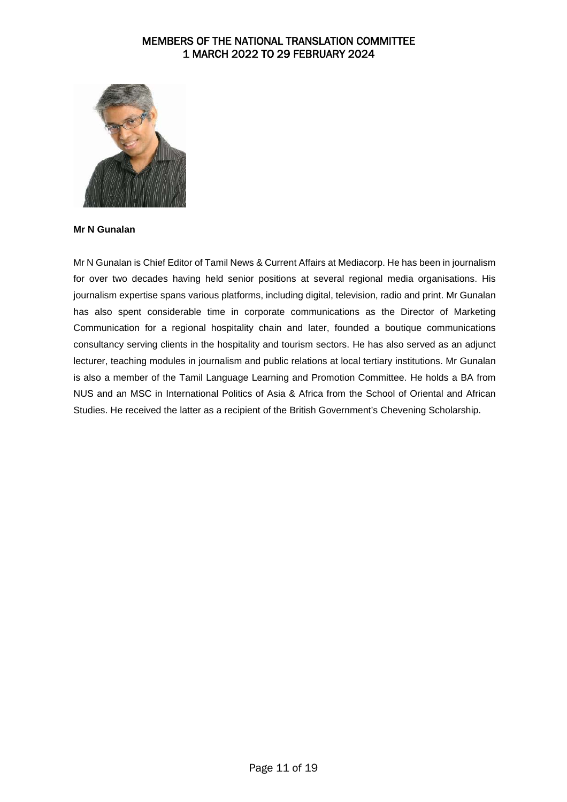

#### **Mr N Gunalan**

Mr N Gunalan is Chief Editor of Tamil News & Current Affairs at Mediacorp. He has been in journalism for over two decades having held senior positions at several regional media organisations. His journalism expertise spans various platforms, including digital, television, radio and print. Mr Gunalan has also spent considerable time in corporate communications as the Director of Marketing Communication for a regional hospitality chain and later, founded a boutique communications consultancy serving clients in the hospitality and tourism sectors. He has also served as an adjunct lecturer, teaching modules in journalism and public relations at local tertiary institutions. Mr Gunalan is also a member of the Tamil Language Learning and Promotion Committee. He holds a BA from NUS and an MSC in International Politics of Asia & Africa from the School of Oriental and African Studies. He received the latter as a recipient of the British Government's Chevening Scholarship.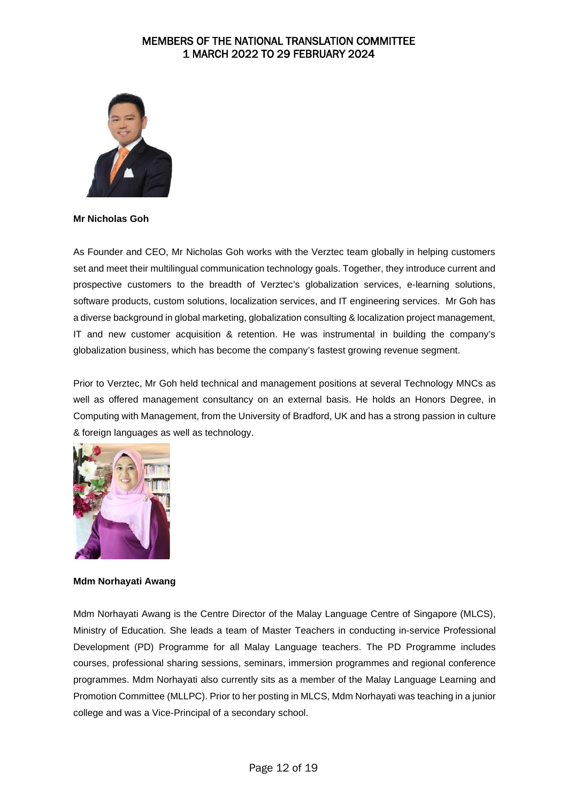

#### **Mr Nicholas Goh**

As Founder and CEO, Mr Nicholas Goh works with the Verztec team globally in helping customers set and meet their multilingual communication technology goals. Together, they introduce current and prospective customers to the breadth of Verztec's globalization services, e-learning solutions, software products, custom solutions, localization services, and IT engineering services. Mr Goh has a diverse background in global marketing, globalization consulting & localization project management, IT and new customer acquisition & retention. He was instrumental in building the company's globalization business, which has become the company's fastest growing revenue segment.

Prior to Verztec, Mr Goh held technical and management positions at several Technology MNCs as well as offered management consultancy on an external basis. He holds an Honors Degree, in Computing with Management, from the University of Bradford, UK and has a strong passion in culture & foreign languages as well as technology.



#### **Mdm Norhayati Awang**

Mdm Norhayati Awang is the Centre Director of the Malay Language Centre of Singapore (MLCS), Ministry of Education. She leads a team of Master Teachers in conducting in-service Professional Development (PD) Programme for all Malay Language teachers. The PD Programme includes courses, professional sharing sessions, seminars, immersion programmes and regional conference programmes. Mdm Norhayati also currently sits as a member of the Malay Language Learning and Promotion Committee (MLLPC). Prior to her posting in MLCS, Mdm Norhayati was teaching in a junior college and was a Vice-Principal of a secondary school.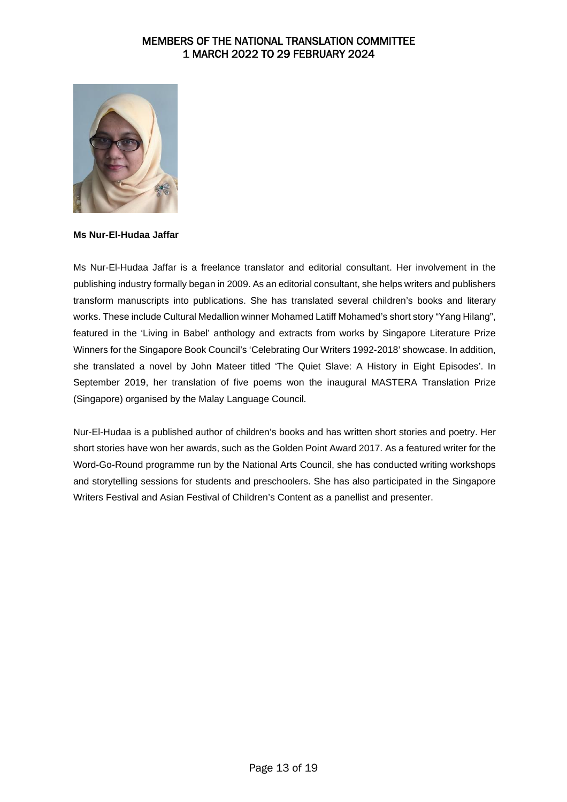

**Ms Nur-El-Hudaa Jaffar**

Ms Nur-El-Hudaa Jaffar is a freelance translator and editorial consultant. Her involvement in the publishing industry formally began in 2009. As an editorial consultant, she helps writers and publishers transform manuscripts into publications. She has translated several children's books and literary works. These include Cultural Medallion winner Mohamed Latiff Mohamed's short story "Yang Hilang", featured in the 'Living in Babel' anthology and extracts from works by Singapore Literature Prize Winners for the Singapore Book Council's 'Celebrating Our Writers 1992-2018' showcase. In addition, she translated a novel by John Mateer titled 'The Quiet Slave: A History in Eight Episodes'. In September 2019, her translation of five poems won the inaugural MASTERA Translation Prize (Singapore) organised by the Malay Language Council.

Nur-El-Hudaa is a published author of children's books and has written short stories and poetry. Her short stories have won her awards, such as the Golden Point Award 2017. As a featured writer for the Word-Go-Round programme run by the National Arts Council, she has conducted writing workshops and storytelling sessions for students and preschoolers. She has also participated in the Singapore Writers Festival and Asian Festival of Children's Content as a panellist and presenter.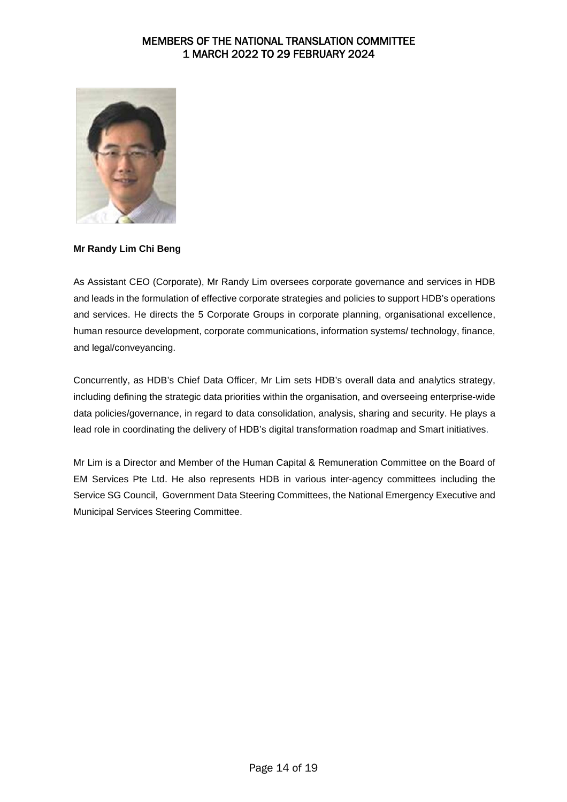

### **Mr Randy Lim Chi Beng**

As Assistant CEO (Corporate), Mr Randy Lim oversees corporate governance and services in HDB and leads in the formulation of effective corporate strategies and policies to support HDB's operations and services. He directs the 5 Corporate Groups in corporate planning, organisational excellence, human resource development, corporate communications, information systems/ technology, finance, and legal/conveyancing.

Concurrently, as HDB's Chief Data Officer, Mr Lim sets HDB's overall data and analytics strategy, including defining the strategic data priorities within the organisation, and overseeing enterprise-wide data policies/governance, in regard to data consolidation, analysis, sharing and security. He plays a lead role in coordinating the delivery of HDB's digital transformation roadmap and Smart initiatives.

Mr Lim is a Director and Member of the Human Capital & Remuneration Committee on the Board of EM Services Pte Ltd. He also represents HDB in various inter-agency committees including the Service SG Council, Government Data Steering Committees, the National Emergency Executive and Municipal Services Steering Committee.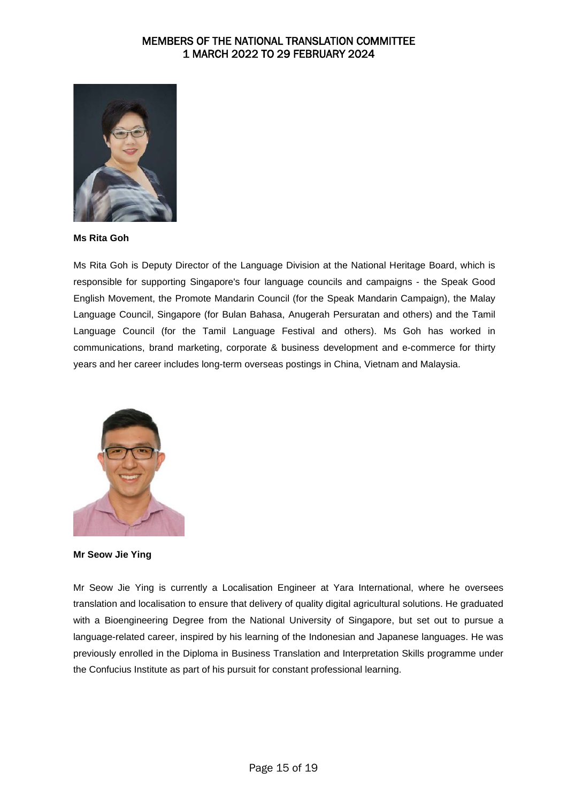

**Ms Rita Goh**

Ms Rita Goh is Deputy Director of the Language Division at the National Heritage Board, which is responsible for supporting Singapore's four language councils and campaigns - the Speak Good English Movement, the Promote Mandarin Council (for the Speak Mandarin Campaign), the Malay Language Council, Singapore (for Bulan Bahasa, Anugerah Persuratan and others) and the Tamil Language Council (for the Tamil Language Festival and others). Ms Goh has worked in communications, brand marketing, corporate & business development and e-commerce for thirty years and her career includes long-term overseas postings in China, Vietnam and Malaysia.



**Mr Seow Jie Ying**

Mr Seow Jie Ying is currently a Localisation Engineer at Yara International, where he oversees translation and localisation to ensure that delivery of quality digital agricultural solutions. He graduated with a Bioengineering Degree from the National University of Singapore, but set out to pursue a language-related career, inspired by his learning of the Indonesian and Japanese languages. He was previously enrolled in the Diploma in Business Translation and Interpretation Skills programme under the Confucius Institute as part of his pursuit for constant professional learning.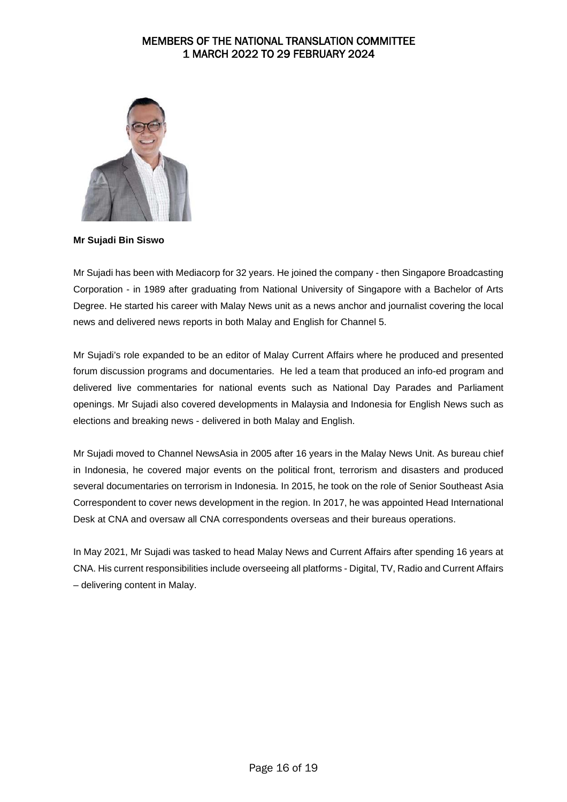

**Mr Sujadi Bin Siswo**

Mr Sujadi has been with Mediacorp for 32 years. He joined the company - then Singapore Broadcasting Corporation - in 1989 after graduating from National University of Singapore with a Bachelor of Arts Degree. He started his career with Malay News unit as a news anchor and journalist covering the local news and delivered news reports in both Malay and English for Channel 5.

Mr Sujadi's role expanded to be an editor of Malay Current Affairs where he produced and presented forum discussion programs and documentaries. He led a team that produced an info-ed program and delivered live commentaries for national events such as National Day Parades and Parliament openings. Mr Sujadi also covered developments in Malaysia and Indonesia for English News such as elections and breaking news - delivered in both Malay and English.

Mr Sujadi moved to Channel NewsAsia in 2005 after 16 years in the Malay News Unit. As bureau chief in Indonesia, he covered major events on the political front, terrorism and disasters and produced several documentaries on terrorism in Indonesia. In 2015, he took on the role of Senior Southeast Asia Correspondent to cover news development in the region. In 2017, he was appointed Head International Desk at CNA and oversaw all CNA correspondents overseas and their bureaus operations.

In May 2021, Mr Sujadi was tasked to head Malay News and Current Affairs after spending 16 years at CNA. His current responsibilities include overseeing all platforms - Digital, TV, Radio and Current Affairs – delivering content in Malay.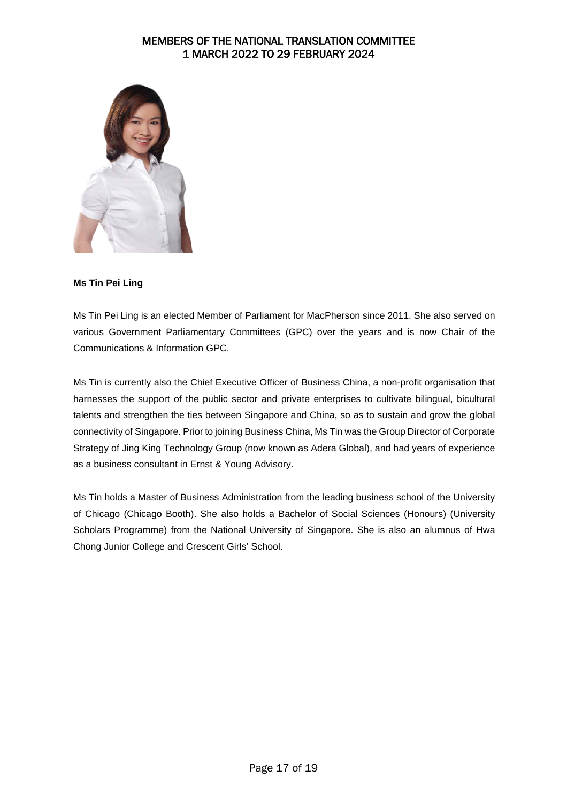

### **Ms Tin Pei Ling**

Ms Tin Pei Ling is an elected Member of Parliament for MacPherson since 2011. She also served on various Government Parliamentary Committees (GPC) over the years and is now Chair of the Communications & Information GPC.

Ms Tin is currently also the Chief Executive Officer of Business China, a non-profit organisation that harnesses the support of the public sector and private enterprises to cultivate bilingual, bicultural talents and strengthen the ties between Singapore and China, so as to sustain and grow the global connectivity of Singapore. Prior to joining Business China, Ms Tin was the Group Director of Corporate Strategy of Jing King Technology Group (now known as Adera Global), and had years of experience as a business consultant in Ernst & Young Advisory.

Ms Tin holds a Master of Business Administration from the leading business school of the University of Chicago (Chicago Booth). She also holds a Bachelor of Social Sciences (Honours) (University Scholars Programme) from the National University of Singapore. She is also an alumnus of Hwa Chong Junior College and Crescent Girls' School.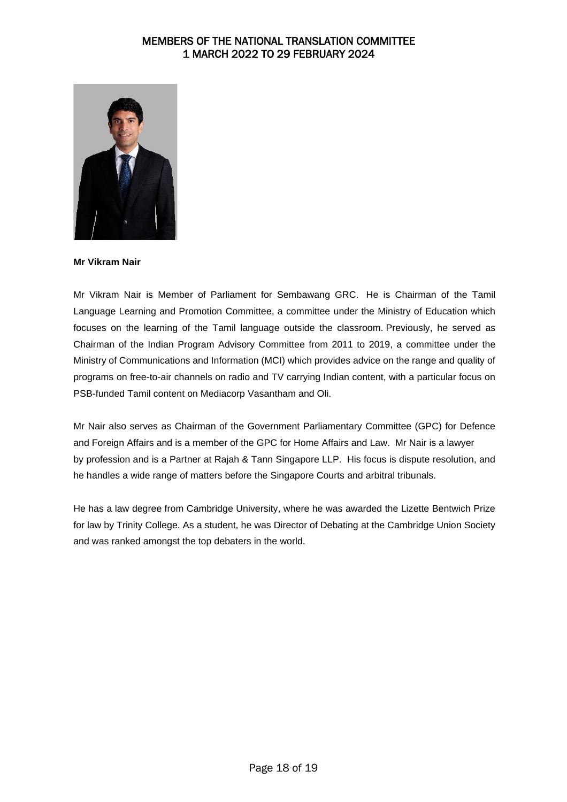

**Mr Vikram Nair**

Mr Vikram Nair is Member of Parliament for Sembawang GRC. He is Chairman of the Tamil Language Learning and Promotion Committee, a committee under the Ministry of Education which focuses on the learning of the Tamil language outside the classroom. Previously, he served as Chairman of the Indian Program Advisory Committee from 2011 to 2019, a committee under the Ministry of Communications and Information (MCI) which provides advice on the range and quality of programs on free-to-air channels on radio and TV carrying Indian content, with a particular focus on PSB-funded Tamil content on Mediacorp Vasantham and Oli.

Mr Nair also serves as Chairman of the Government Parliamentary Committee (GPC) for Defence and Foreign Affairs and is a member of the GPC for Home Affairs and Law. Mr Nair is a lawyer by profession and is a Partner at Rajah & Tann Singapore LLP. His focus is dispute resolution, and he handles a wide range of matters before the Singapore Courts and arbitral tribunals.

He has a law degree from Cambridge University, where he was awarded the Lizette Bentwich Prize for law by Trinity College. As a student, he was Director of Debating at the Cambridge Union Society and was ranked amongst the top debaters in the world.